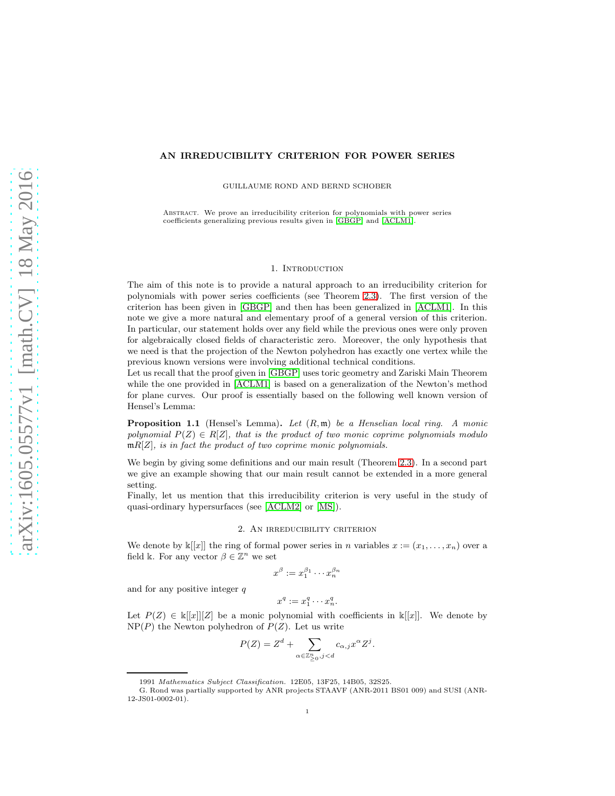## AN IRREDUCIBILITY CRITERION FOR POWER SERIES

GUILLAUME ROND AND BERND SCHOBER

Abstract. We prove an irreducibility criterion for polynomials with power series coefficients generalizing previous results given in [\[GBGP\]](#page-4-0) and [\[ACLM1\]](#page-4-1).

### 1. Introduction

The aim of this note is to provide a natural approach to an irreducibility criterion for polynomials with power series coefficients (see Theorem [2.3\)](#page-2-0). The first version of the criterion has been given in [\[GBGP\]](#page-4-0) and then has been generalized in [\[ACLM1\]](#page-4-1). In this note we give a more natural and elementary proof of a general version of this criterion. In particular, our statement holds over any field while the previous ones were only proven for algebraically closed fields of characteristic zero. Moreover, the only hypothesis that we need is that the projection of the Newton polyhedron has exactly one vertex while the previous known versions were involving additional technical conditions.

Let us recall that the proof given in [\[GBGP\]](#page-4-0) uses toric geometry and Zariski Main Theorem while the one provided in [\[ACLM1\]](#page-4-1) is based on a generalization of the Newton's method for plane curves. Our proof is essentially based on the following well known version of Hensel's Lemma:

Proposition 1.1 (Hensel's Lemma). *Let* (R, m) *be a Henselian local ring. A monic polynomial*  $P(Z) \in R[Z]$ *, that is the product of two monic coprime polynomials modulo* mR[Z]*, is in fact the product of two coprime monic polynomials.*

We begin by giving some definitions and our main result (Theorem [2.3\)](#page-2-0). In a second part we give an example showing that our main result cannot be extended in a more general setting.

Finally, let us mention that this irreducibility criterion is very useful in the study of quasi-ordinary hypersurfaces (see [\[ACLM2\]](#page-4-2) or [\[MS\]](#page-4-3)).

## 2. An irreducibility criterion

We denote by  $\mathbb{k}[[x]]$  the ring of formal power series in n variables  $x := (x_1, \ldots, x_n)$  over a field k. For any vector  $\beta \in \mathbb{Z}^n$  we set

$$
x^{\beta} := x_1^{\beta_1} \cdots x_n^{\beta_n}
$$

and for any positive integer  $q$ 

$$
x^q := x_1^q \cdots x_n^q.
$$

Let  $P(Z) \in \mathbb{K}[[x]][Z]$  be a monic polynomial with coefficients in  $\mathbb{K}[[x]]$ . We denote by  $NP(P)$  the Newton polyhedron of  $P(Z)$ . Let us write

$$
P(Z) = Zd + \sum_{\alpha \in \mathbb{Z}_{\geq 0}^n, j < d} c_{\alpha, j} x^{\alpha} Z^j.
$$

<sup>1991</sup> Mathematics Subject Classification. 12E05, 13F25, 14B05, 32S25.

G. Rond was partially supported by ANR projects STAAVF (ANR-2011 BS01 009) and SUSI (ANR-12-JS01-0002-01).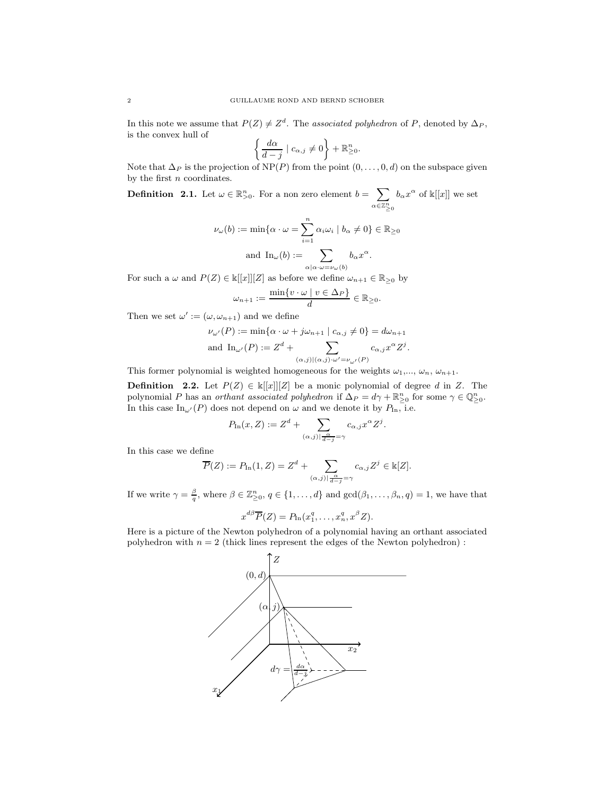In this note we assume that  $P(Z) \neq Z<sup>d</sup>$ . The *associated polyhedron* of P, denoted by  $\Delta_P$ , is the convex hull of

$$
\left\{\frac{d\alpha}{d-j} \mid c_{\alpha,j} \neq 0\right\} + \mathbb{R}^n_{\geq 0}.
$$

Note that  $\Delta_P$  is the projection of NP(P) from the point  $(0, \ldots, 0, d)$  on the subspace given by the first  $n$  coordinates.

<span id="page-1-0"></span>**Definition** 2.1. Let  $\omega \in \mathbb{R}_{>0}^n$ . For a non zero element  $b = \sum$  $\alpha \in \mathbb{Z}_{\geq 0}^n$  $b_{\alpha}x^{\alpha}$  of  $\mathbb{k}[[x]]$  we set

$$
\nu_{\omega}(b) := \min \{ \alpha \cdot \omega = \sum_{i=1}^{n} \alpha_{i} \omega_{i} \mid b_{\alpha} \neq 0 \} \in \mathbb{R}_{\geq 0}
$$
  
and 
$$
\text{In}_{\omega}(b) := \sum_{\alpha | \alpha \cdot \omega = \nu_{\omega}(b)} b_{\alpha} x^{\alpha}.
$$

For such a  $\omega$  and  $P(Z) \in \mathbb{k}[[x]][Z]$  as before we define  $\omega_{n+1} \in \mathbb{R}_{\geq 0}$  by

$$
\omega_{n+1} := \frac{\min\{v \cdot \omega \mid v \in \Delta_P\}}{d} \in \mathbb{R}_{\geq 0}.
$$

Then we set  $\omega' := (\omega, \omega_{n+1})$  and we define

$$
\nu_{\omega'}(P) := \min\{\alpha \cdot \omega + j\omega_{n+1} \mid c_{\alpha,j} \neq 0\} = d\omega_{n+1}
$$
  
and 
$$
\text{In}_{\omega'}(P) := Z^d + \sum_{(\alpha,j) \mid (\alpha,j) \cdot \omega' = \nu_{\omega'}(P)} c_{\alpha,j} x^{\alpha} Z^j.
$$

This former polynomial is weighted homogeneous for the weights  $\omega_1, \dots, \omega_n, \omega_{n+1}$ .

**Definition** 2.2. Let  $P(Z) \in k[[x]][Z]$  be a monic polynomial of degree d in Z. The polynomial P has an *orthant associated polyhedron* if  $\Delta_P = d\gamma + \mathbb{R}^n_{\geq 0}$  for some  $\gamma \in \mathbb{Q}^n_{\geq 0}$ . In this case  $\text{In}_{\omega'}(P)$  does not depend on  $\omega$  and we denote it by  $P_{\text{In}}$ , i.e.

$$
P_{\text{In}}(x, Z) := Z^d + \sum_{(\alpha, j) | \frac{\alpha}{d - j} = \gamma} c_{\alpha, j} x^{\alpha} Z^j.
$$

In this case we define

$$
\overline{P}(Z) := P_{\text{In}}(1, Z) = Z^d + \sum_{(\alpha, j) \mid \frac{\alpha}{d - j} = \gamma} c_{\alpha, j} Z^j \in \mathbb{k}[Z].
$$

If we write  $\gamma = \frac{\beta}{q}$ , where  $\beta \in \mathbb{Z}_{\geq 0}^n$ ,  $q \in \{1, \ldots, d\}$  and  $\gcd(\beta_1, \ldots, \beta_n, q) = 1$ , we have that

$$
x^{d\beta}\overline{P}(Z) = P_{\text{In}}(x_1^q, \ldots, x_n^q, x^{\beta} Z).
$$

Here is a picture of the Newton polyhedron of a polynomial having an orthant associated polyhedron with  $n = 2$  (thick lines represent the edges of the Newton polyhedron) :

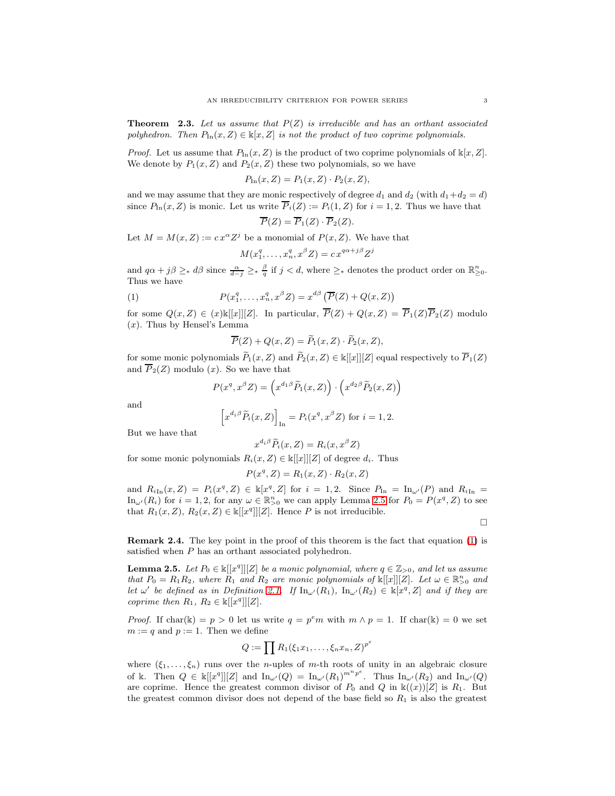<span id="page-2-0"></span>Theorem 2.3. *Let us assume that* P(Z) *is irreducible and has an orthant associated polyhedron. Then*  $P_{\text{In}}(x, Z) \in \mathbb{K}[x, Z]$  *is not the product of two coprime polynomials.* 

*Proof.* Let us assume that  $P_{\text{In}}(x, Z)$  is the product of two coprime polynomials of  $\mathbb{k}[x, Z]$ . We denote by  $P_1(x, Z)$  and  $P_2(x, Z)$  these two polynomials, so we have

$$
P_{\text{In}}(x,Z) = P_1(x,Z) \cdot P_2(x,Z),
$$

and we may assume that they are monic respectively of degree  $d_1$  and  $d_2$  (with  $d_1+d_2 = d$ ) since  $P_{\text{In}}(x, Z)$  is monic. Let us write  $\overline{P}_i(Z) := P_i(1, Z)$  for  $i = 1, 2$ . Thus we have that

$$
\overline{P}(Z) = \overline{P}_1(Z) \cdot \overline{P}_2(Z).
$$

Let  $M = M(x, Z) := c x^{\alpha} Z^{j}$  be a monomial of  $P(x, Z)$ . We have that

$$
M(x_1^q, \dots, x_n^q, x^\beta Z) = c x^{q\alpha + j\beta} Z^j
$$

and  $q\alpha + j\beta \geq_* d\beta$  since  $\frac{\alpha}{d-j} \geq_* \frac{\beta}{q}$  if  $j < d$ , where  $\geq_*$  denotes the product order on  $\mathbb{R}^n_{\geq 0}$ . Thus we have

(1) 
$$
P(x_1^q, \ldots, x_n^q, x^\beta Z) = x^{d\beta} \left( \overline{P}(Z) + Q(x, Z) \right)
$$

for some  $Q(x, Z) \in (x) \mathbb{K}[[x]][Z]$ . In particular,  $\overline{P}(Z) + Q(x, Z) = \overline{P}_1(Z)\overline{P}_2(Z)$  modulo  $(x)$ . Thus by Hensel's Lemma

<span id="page-2-2"></span>
$$
\overline{P}(Z) + Q(x, Z) = \widetilde{P}_1(x, Z) \cdot \widetilde{P}_2(x, Z),
$$

for some monic polynomials  $\widetilde{P}_1(x, Z)$  and  $\widetilde{P}_2(x, Z) \in \mathbb{k}[[x]][Z]$  equal respectively to  $\overline{P}_1(Z)$ and  $\overline{P}_2(Z)$  modulo  $(x)$ . So we have that

$$
P(x^q, x^\beta Z) = \left(x^{d_1\beta}\widetilde{P}_1(x, Z)\right) \cdot \left(x^{d_2\beta}\widetilde{P}_2(x, Z)\right)
$$

and

$$
\[x^{d_i\beta}\widetilde{P}_i(x,Z)\]_{\text{In}} = P_i(x^q, x^{\beta}Z) \text{ for } i = 1,2.
$$

But we have that

$$
x^{d_i\beta}\widetilde{P}_i(x,Z) = R_i(x,x^{\beta}Z)
$$

for some monic polynomials  $R_i(x, Z) \in \mathbb{k}[[x]][Z]$  of degree  $d_i$ . Thus

$$
P(x^q, Z) = R_1(x, Z) \cdot R_2(x, Z)
$$

and  $R_{i\text{In}}(x, Z) = P_i(x^q, Z) \in \mathbb{k}[x^q, Z]$  for  $i = 1, 2$ . Since  $P_{\text{In}} = \text{In}_{\omega'}(P)$  and  $R_{i\text{In}} =$  $\text{In}_{\omega}(R_i)$  for  $i = 1, 2$ , for any  $\omega \in \mathbb{R}_{\geq 0}^n$  we can apply Lemma [2.5](#page-2-1) for  $P_0 = P(x^q, Z)$  to see that  $R_1(x, Z), R_2(x, Z) \in \mathbb{k}[[x^q]][Z]$ . Hence P is not irreducible.

 $\Box$ 

Remark 2.4. The key point in the proof of this theorem is the fact that equation [\(1\)](#page-2-2) is satisfied when P has an orthant associated polyhedron.

<span id="page-2-1"></span>**Lemma 2.5.** Let  $P_0 \in \mathbb{k}[[x^q]][Z]$  be a monic polynomial, where  $q \in \mathbb{Z}_{>0}$ , and let us assume *that*  $P_0 = R_1 R_2$ , where  $R_1$  *and*  $R_2$  *are monic polynomials of*  $\mathbb{K}[[x]][Z]$ *. Let*  $\omega \in \mathbb{R}_{>0}^n$  *and let*  $\omega'$  *be defined as in Definition [2.1.](#page-1-0) If*  $\text{In}_{\omega'}(R_1)$ ,  $\text{In}_{\omega'}(R_2) \in \mathbb{k}[x^q, Z]$  *and if they are coprime then*  $R_1, R_2 \in \mathbb{K}[[x^q]][Z].$ 

*Proof.* If char(k) = p > 0 let us write  $q = p^e m$  with  $m \wedge p = 1$ . If char(k) = 0 we set  $m := q$  and  $p := 1$ . Then we define

$$
Q := \prod R_1(\xi_1 x_1, \ldots, \xi_n x_n, Z)^{p^e}
$$

where  $(\xi_1, \ldots, \xi_n)$  runs over the *n*-uples of *m*-th roots of unity in an algebraic closure of k. Then  $Q \in \mathbb{k}[[x^q]][Z]$  and  $\text{In}_{\omega'}(Q) = \text{In}_{\omega'}(R_1)^{m^np^e}$ . Thus  $\text{In}_{\omega'}(R_2)$  and  $\text{In}_{\omega'}(Q)$ are coprime. Hence the greatest common divisor of  $P_0$  and  $Q$  in  $\mathbb{k}((x))[Z]$  is  $R_1$ . But the greatest common divisor does not depend of the base field so  $R_1$  is also the greatest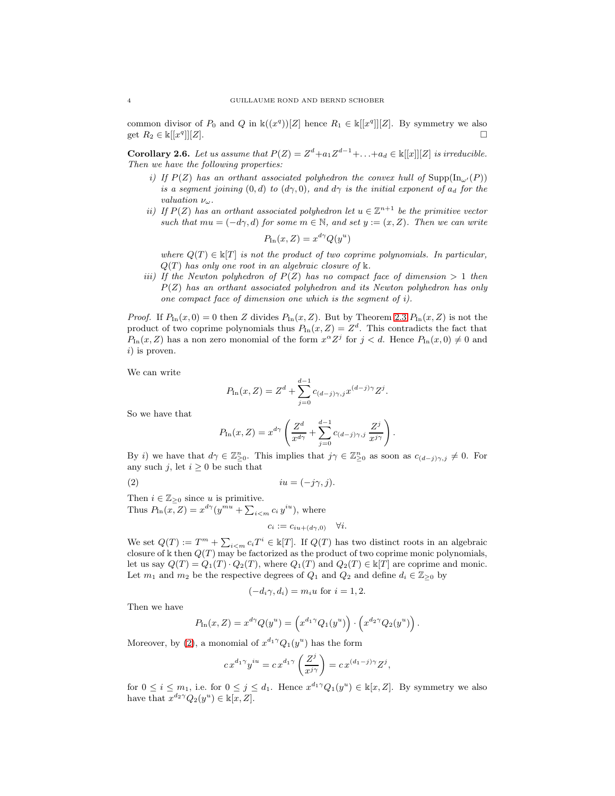common divisor of  $P_0$  and  $Q$  in  $\mathbb{k}((x^q))[Z]$  hence  $R_1 \in \mathbb{k}[[x^q]][Z]$ . By symmetry we also get  $R_2 \in \mathbb{k}[[x^q$  $\Box$   $\Box$ 

Corollary 2.6. Let us assume that  $P(Z) = Z^d + a_1 Z^{d-1} + \ldots + a_d \in \mathbb{k}[[x]][Z]$  *is irreducible. Then we have the following properties:*

- *i)* If  $P(Z)$  has an orthant associated polyhedron the convex hull of  $\text{Supp}(\text{In}_{\omega'}(P))$ *is a segment joining*  $(0, d)$  *to*  $(d\gamma, 0)$ *, and*  $d\gamma$  *is the initial exponent of*  $a_d$  *for the valuation* νω*.*
- *ii)* If  $P(Z)$  has an orthant associated polyhedron let  $u \in \mathbb{Z}^{n+1}$  be the primitive vector *such that*  $mu = (-d\gamma, d)$  *for some*  $m \in \mathbb{N}$ *, and set*  $y := (x, Z)$ *. Then we can write*

$$
P_{\text{In}}(x, Z) = x^{d\gamma} Q(y^u)
$$

*where*  $Q(T) \in \mathbb{K}[T]$  *is not the product of two coprime polynomials. In particular,*  $Q(T)$  has only one root in an algebraic closure of  $\Bbbk$ .

*iii)* If the Newton polyhedron of  $P(Z)$  has no compact face of dimension  $> 1$  then P(Z) *has an orthant associated polyhedron and its Newton polyhedron has only one compact face of dimension one which is the segment of i).*

*Proof.* If  $P_{\text{In}}(x, 0) = 0$  then Z divides  $P_{\text{In}}(x, Z)$ . But by Theorem [2.3](#page-2-0)  $P_{\text{In}}(x, Z)$  is not the product of two coprime polynomials thus  $P_{\text{In}}(x, Z) = Z<sup>d</sup>$ . This contradicts the fact that  $P_{\text{In}}(x, Z)$  has a non zero monomial of the form  $x^{\alpha}Z^{j}$  for  $j < d$ . Hence  $P_{\text{In}}(x, 0) \neq 0$  and i) is proven.

We can write

$$
P_{\text{In}}(x, Z) = Z^{d} + \sum_{j=0}^{d-1} c_{(d-j)\gamma, j} x^{(d-j)\gamma} Z^{j}.
$$

So we have that

$$
P_{\text{In}}(x,Z) = x^{d\gamma} \left( \frac{Z^d}{x^{d\gamma}} + \sum_{j=0}^{d-1} c_{(d-j)\gamma,j} \frac{Z^j}{x^{j\gamma}} \right).
$$

By i) we have that  $d\gamma \in \mathbb{Z}_{\geq 0}^n$ . This implies that  $j\gamma \in \mathbb{Z}_{\geq 0}^n$  as soon as  $c_{(d-j)\gamma,j} \neq 0$ . For any such j, let  $i \geq 0$  be such that

(2) iu = (−jγ, j).

Then  $i \in \mathbb{Z}_{\geq 0}$  since u is primitive.

Thus  $P_{\text{In}}(x, Z) = x^{d\gamma} (y^{mu} + \sum_{i \leq m} c_i y^{iu}),$  where

<span id="page-3-0"></span>
$$
c_i := c_{iu+(d\gamma,0)} \quad \forall i.
$$

We set  $Q(T) := T^m + \sum_{i \le m} c_i T^i \in \mathbb{K}[T]$ . If  $Q(T)$  has two distinct roots in an algebraic closure of  $\Bbbk$  then  $Q(T)$  may be factorized as the product of two coprime monic polynomials, let us say  $Q(T) = Q_1(T) \cdot Q_2(T)$ , where  $Q_1(T)$  and  $Q_2(T) \in \mathbb{K}[T]$  are coprime and monic. Let  $m_1$  and  $m_2$  be the respective degrees of  $Q_1$  and  $Q_2$  and define  $d_i \in \mathbb{Z}_{\geq 0}$  by

$$
(-d_i\gamma, d_i) = m_i u
$$
 for  $i = 1, 2$ .

Then we have

$$
P_{\text{In}}(x,Z) = x^{d\gamma} Q(y^u) = \left( x^{d_1 \gamma} Q_1(y^u) \right) \cdot \left( x^{d_2 \gamma} Q_2(y^u) \right).
$$

Moreover, by [\(2\)](#page-3-0), a monomial of  $x^{d_1 \gamma} Q_1(y^u)$  has the form

$$
cx^{d_1\gamma}y^{iu} = cx^{d_1\gamma}\left(\frac{Z^j}{x^{j\gamma}}\right) = cx^{(d_1-j)\gamma}Z^j,
$$

for  $0 \leq i \leq m_1$ , i.e. for  $0 \leq j \leq d_1$ . Hence  $x^{d_1 \gamma} Q_1(y^u) \in \mathbb{k}[x, Z]$ . By symmetry we also have that  $x^{d_2 \gamma} Q_2(y^u) \in \mathbb{k}[x, Z]$ .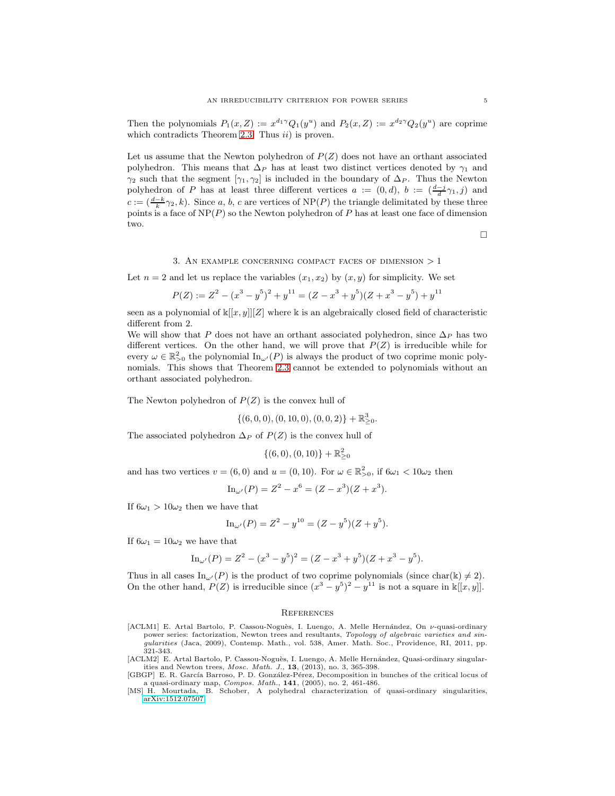Then the polynomials  $P_1(x, Z) := x^{d_1 \gamma} Q_1(y^u)$  and  $P_2(x, Z) := x^{d_2 \gamma} Q_2(y^u)$  are coprime which contradicts Theorem [2.3.](#page-2-0) Thus  $ii)$  is proven.

Let us assume that the Newton polyhedron of  $P(Z)$  does not have an orthant associated polyhedron. This means that  $\Delta_P$  has at least two distinct vertices denoted by  $\gamma_1$  and  $\gamma_2$  such that the segment  $[\gamma_1, \gamma_2]$  is included in the boundary of  $\Delta_P$ . Thus the Newton polyhedron of P has at least three different vertices  $a := (0, d)$ ,  $b := (\frac{d-j}{d} \gamma_1, j)$  and  $c := (\frac{d-k}{k}\gamma_2, k)$ . Since a, b, c are vertices of NP(P) the triangle delimitated by these three points is a face of  $NP(P)$  so the Newton polyhedron of P has at least one face of dimension two.

 $\Box$ 

#### 3. AN EXAMPLE CONCERNING COMPACT FACES OF DIMENSION  $>1$

Let  $n = 2$  and let us replace the variables  $(x_1, x_2)$  by  $(x, y)$  for simplicity. We set

$$
P(Z) := Z2 - (x3 - y5)2 + y11 = (Z - x3 + y5)(Z + x3 - y5) + y11
$$

seen as a polynomial of  $\mathbb{K}[[x, y]][Z]$  where k is an algebraically closed field of characteristic different from 2.

We will show that P does not have an orthant associated polyhedron, since  $\Delta_P$  has two different vertices. On the other hand, we will prove that  $P(Z)$  is irreducible while for every  $\omega \in \mathbb{R}_{\geq 0}^2$  the polynomial  $\text{In}_{\omega'}(P)$  is always the product of two coprime monic polynomials. This shows that Theorem [2.3](#page-2-0) cannot be extended to polynomials without an orthant associated polyhedron.

The Newton polyhedron of  $P(Z)$  is the convex hull of

$$
\{(6,0,0),(0,10,0),(0,0,2)\}+\mathbb{R}_{\geq 0}^3.
$$

The associated polyhedron  $\Delta_P$  of  $P(Z)$  is the convex hull of

$$
\{(6,0),(0,10)\}+\mathbb{R}_{\geq 0}^2
$$

and has two vertices  $v = (6,0)$  and  $u = (0,10)$ . For  $\omega \in \mathbb{R}^2_{>0}$ , if  $6\omega_1 < 10\omega_2$  then

$$
\mathrm{In}_{\omega'}(P) = Z^2 - x^6 = (Z - x^3)(Z + x^3).
$$

If  $6\omega_1 > 10\omega_2$  then we have that

$$
\mathrm{In}_{\omega'}(P) = Z^2 - y^{10} = (Z - y^5)(Z + y^5).
$$

If  $6\omega_1 = 10\omega_2$  we have that

$$
\mathrm{In}_{\omega'}(P) = Z^2 - (x^3 - y^5)^2 = (Z - x^3 + y^5)(Z + x^3 - y^5).
$$

Thus in all cases  $In_{\omega'}(P)$  is the product of two coprime polynomials (since char(k)  $\neq 2$ ). On the other hand,  $P(Z)$  is irreducible since  $(x^3 - y^5)^2 - y^{11}$  is not a square in  $\mathbb{K}[[x, y]]$ .

#### **REFERENCES**

- <span id="page-4-1"></span>[ACLM1] E. Artal Bartolo, P. Cassou-Noguès, I. Luengo, A. Melle Hernández, On  $\nu$ -quasi-ordinary power series: factorization, Newton trees and resultants, Topology of algebraic varieties and singularities (Jaca, 2009), Contemp. Math., vol. 538, Amer. Math. Soc., Providence, RI, 2011, pp. 321-343.
- <span id="page-4-2"></span>[ACLM2] E. Artal Bartolo, P. Cassou-Noguès, I. Luengo, A. Melle Hernández, Quasi-ordinary singularities and Newton trees, Mosc. Math. J., 13, (2013), no. 3, 365-398.
- <span id="page-4-0"></span>[GBGP] E. R. García Barroso, P. D. González-Pérez, Decomposition in bunches of the critical locus of a quasi-ordinary map, Compos. Math., 141, (2005), no. 2, 461-486.
- <span id="page-4-3"></span>[MS] H. Mourtada, B. Schober, A polyhedral characterization of quasi-ordinary singularities, [arXiv:1512.07507.](http://arxiv.org/abs/1512.07507)